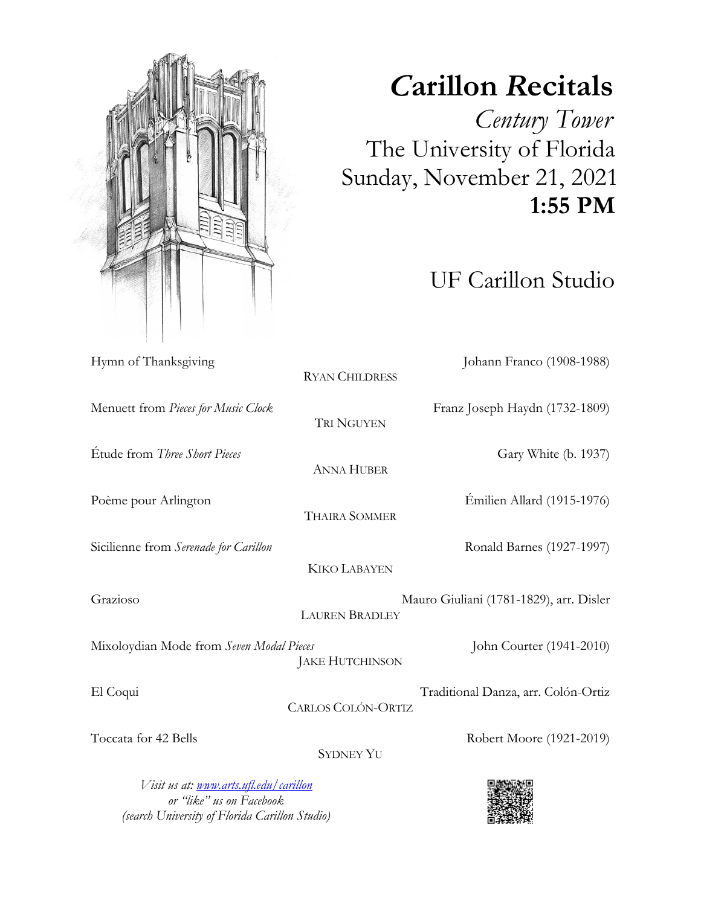UF Carillon Studio Hymn of Thanksgiving Johann Franco (1908-1988) RYAN CHILDRESS Menuett from *Pieces for Music Clock* Franz Joseph Haydn (1732-1809) TRI NGUYEN Étude from *Three Short Pieces* Gary White (b. 1937) ANNA HUBER Poème pour Arlington Émilien Allard (1915-1976) THAIRA SOMMER Sicilienne from *Serenade for Carillon* Ronald Barnes (1927-1997) KIKO LABAYEN Grazioso Mauro Giuliani (1781-1829), arr. Disler LAUREN BRADLEY Mixoloydian Mode from *Seven Modal Pieces* John Courter (1941-2010) JAKE HUTCHINSON El Coqui Traditional Danza, arr. Colón-Ortiz CARLOS COLÓN-ORTIZ Toccata for 42 Bells Robert Moore (1921-2019) SYDNEY YU

*Visit us at: www.arts.ufl.edu/carillon or "like" us on Facebook (search University of Florida Carillon Studio)*





## *C***arillon** *R***ecitals**

 *Century Tower* The University of Florida Sunday, November 21, 2021  **1:55 PM**